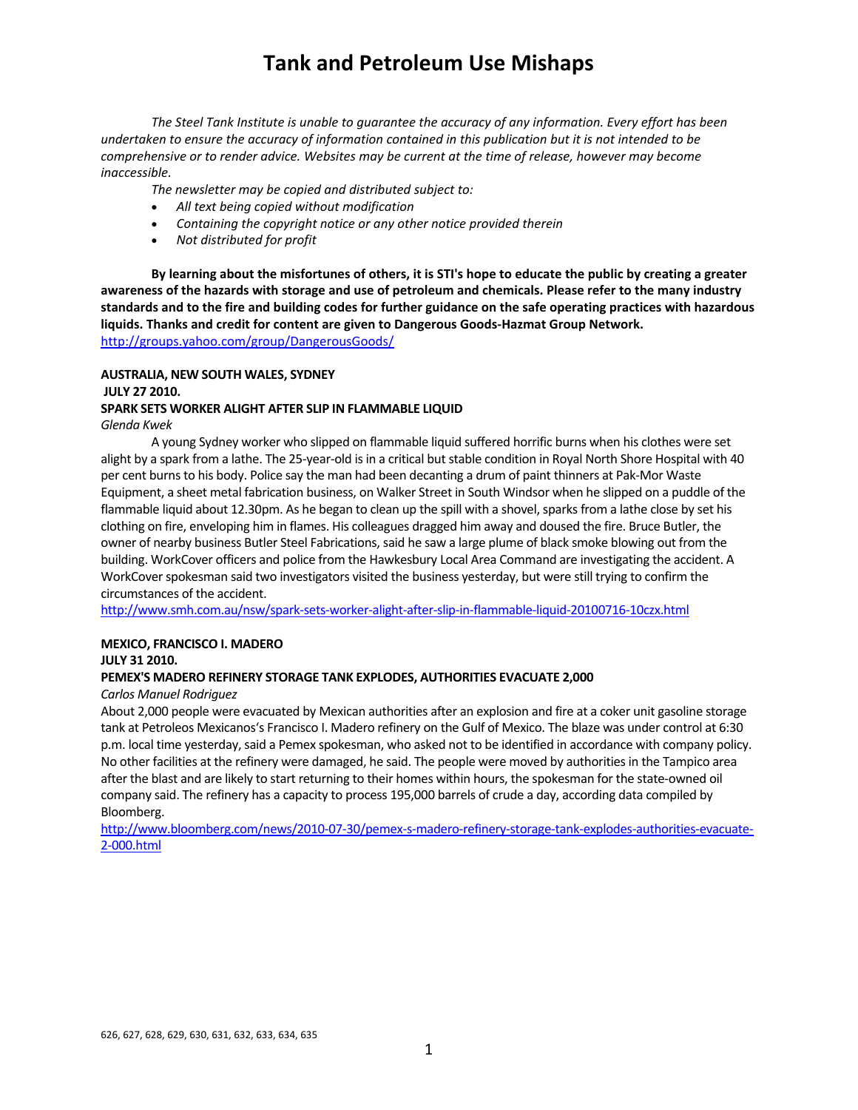*The Steel Tank Institute is unable to guarantee the accuracy of any information. Every effort has been* undertaken to ensure the accuracy of information contained in this publication but it is not intended to be *comprehensive or to render advice. Websites may be current at the time of release, however may become inaccessible.*

*The newsletter may be copied and distributed subject to:*

- *All text being copied without modification*
- *Containing the copyright notice or any other notice provided therein*
- *Not distributed for profit*

By learning about the misfortunes of others, it is STI's hope to educate the public by creating a greater awareness of the hazards with storage and use of petroleum and chemicals. Please refer to the many industry standards and to the fire and building codes for further guidance on the safe operating practices with hazardous **liquids. Thanks and credit for content are given to Dangerous Goods‐Hazmat Group Network.**  http://groups.yahoo.com/group/DangerousGoods/

### **AUSTRALIA, NEW SOUTH WALES, SYDNEY JULY 27 2010.**

# **SPARK SETS WORKER ALIGHT AFTER SLIP IN FLAMMABLE LIQUID**

*Glenda Kwek*

A young Sydney worker who slipped on flammable liquid suffered horrific burns when his clothes were set alight by a spark from a lathe. The 25-year-old is in a critical but stable condition in Royal North Shore Hospital with 40 per cent burnsto his body. Police say the man had been decanting a drum of paint thinners at Pak‐Mor Waste Equipment, a sheet metal fabrication business, on Walker Street in South Windsor when he slipped on a puddle of the flammable liquid about 12.30pm. As he began to clean up the spill with a shovel, sparks from a lathe close by set his clothing on fire, enveloping him in flames. His colleagues dragged him away and doused the fire. Bruce Butler, the owner of nearby business Butler Steel Fabrications, said he saw a large plume of black smoke blowing out from the building. WorkCover officers and police from the Hawkesbury Local Area Command are investigating the accident. A WorkCover spokesman said two investigators visited the business yesterday, but were still trying to confirm the circumstances of the accident.

http://www.smh.com.au/nsw/spark‐sets‐worker‐alight‐after‐slip‐in‐flammable‐liquid‐20100716‐10czx.html

### **MEXICO, FRANCISCO I. MADERO**

**JULY 31 2010.** 

### **PEMEX'S MADERO REFINERY STORAGE TANK EXPLODES, AUTHORITIES EVACUATE 2,000**

#### *Carlos Manuel Rodriguez*

About 2,000 people were evacuated by Mexican authorities after an explosion and fire at a coker unit gasoline storage tank at Petroleos Mexicanos's Francisco I. Madero refinery on the Gulf of Mexico. The blaze was under control at 6:30 p.m. local time yesterday,said a Pemex spokesman, who asked not to be identified in accordance with company policy. No other facilities at the refinery were damaged, he said. The people were moved by authoritiesin the Tampico area after the blast and are likely to start returning to their homes within hours, the spokesman for the state‐owned oil company said. The refinery has a capacity to process 195,000 barrels of crude a day, according data compiled by Bloomberg.

http://www.bloomberg.com/news/2010‐07‐30/pemex‐s‐madero‐refinery‐storage‐tank‐explodes‐authorities‐evacuate‐ 2‐000.html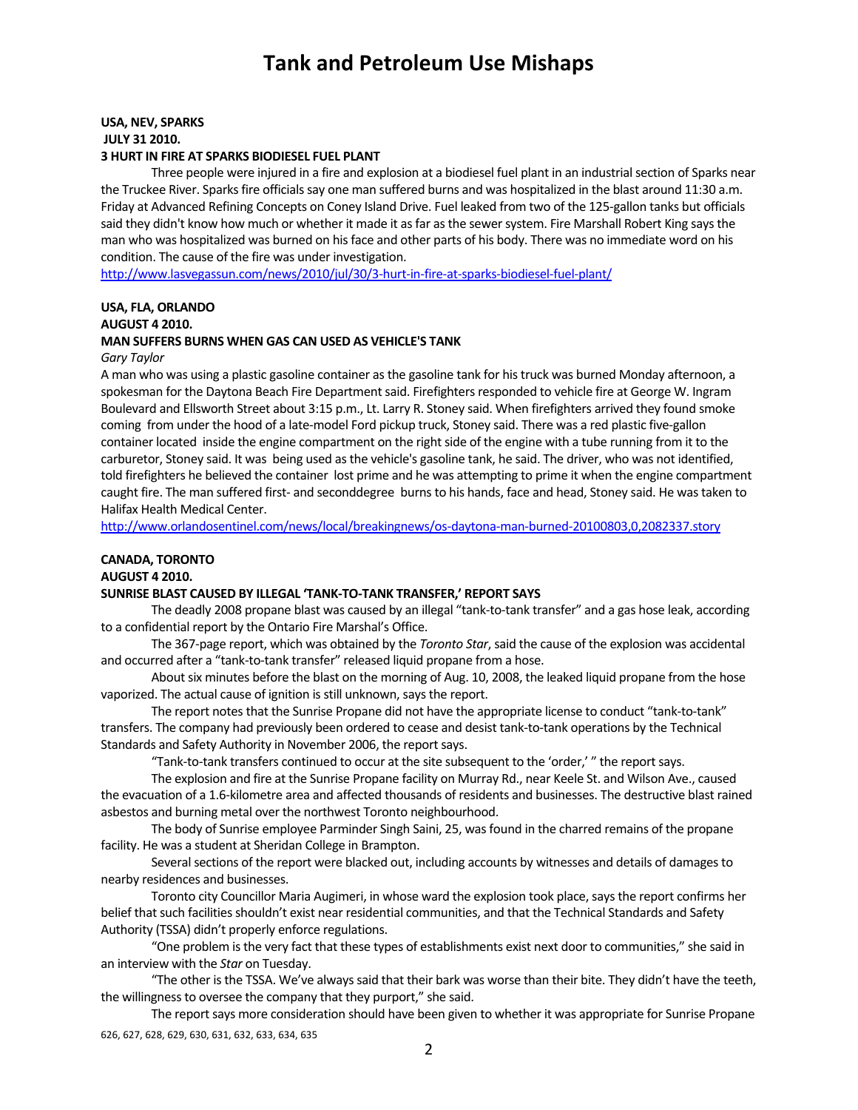### **USA, NEV, SPARKS JULY 31 2010. 3 HURT IN FIRE AT SPARKS BIODIESEL FUEL PLANT**

Three people were injured in a fire and explosion at a biodiesel fuel plant in an industrial section of Sparks near the Truckee River. Sparks fire officials say one man suffered burns and was hospitalized in the blast around 11:30 a.m. Friday at Advanced Refining Concepts on Coney Island Drive. Fuel leaked from two of the 125‐gallon tanks but officials said they didn't know how much or whether it made it as far as the sewer system. Fire Marshall Robert King says the man who was hospitalized was burned on hisface and other parts of his body. There was no immediate word on his condition. The cause of the fire was under investigation.

http://www.lasvegassun.com/news/2010/jul/30/3‐hurt‐in‐fire‐at‐sparks‐biodiesel‐fuel‐plant/

### **USA, FLA, ORLANDO AUGUST 4 2010. MAN SUFFERS BURNS WHEN GAS CAN USED AS VEHICLE'S TANK**

*Gary Taylor*

A man who was using a plastic gasoline container as the gasoline tank for his truck was burned Monday afternoon, a spokesman for the Daytona Beach Fire Department said. Firefighters responded to vehicle fire at George W. Ingram Boulevard and Ellsworth Street about 3:15 p.m., Lt. Larry R. Stoney said. When firefighters arrived they found smoke coming from under the hood of a late-model Ford pickup truck, Stoney said. There was a red plastic five-gallon container located inside the engine compartment on the right side of the engine with a tube running from it to the carburetor, Stoney said. It was being used asthe vehicle's gasoline tank, he said. The driver, who was not identified, told firefighters he believed the container lost prime and he was attempting to prime it when the engine compartment caught fire. The man suffered first- and seconddegree burns to his hands, face and head, Stoney said. He was taken to Halifax Health Medical Center.

http://www.orlandosentinel.com/news/local/breakingnews/os‐daytona‐man‐burned‐20100803,0,2082337.story

### **CANADA, TORONTO**

#### **AUGUST 4 2010.**

#### **SUNRISE BLAST CAUSED BY ILLEGAL 'TANK‐TO‐TANK TRANSFER,' REPORT SAYS**

The deadly 2008 propane blast was caused by an illegal "tank‐to‐tank transfer" and a gas hose leak, according to a confidential report by the Ontario Fire Marshal's Office.

The 367‐page report, which was obtained by the *Toronto Star*,said the cause of the explosion was accidental and occurred after a "tank-to-tank transfer" released liquid propane from a hose.

About six minutes before the blast on the morning of Aug. 10, 2008, the leaked liquid propane from the hose vaporized. The actual cause of ignition is still unknown, says the report.

The report notes that the Sunrise Propane did not have the appropriate license to conduct "tank-to-tank" transfers. The company had previously been ordered to cease and desist tank‐to‐tank operations by the Technical Standards and Safety Authority in November 2006, the report says.

"Tank‐to‐tank transfers continued to occur at the site subsequent to the 'order,' " the reportsays.

The explosion and fire at the Sunrise Propane facility on Murray Rd., near Keele St. and Wilson Ave., caused the evacuation of a 1.6‐kilometre area and affected thousands of residents and businesses. The destructive blast rained asbestos and burning metal over the northwest Toronto neighbourhood.

The body of Sunrise employee Parminder Singh Saini, 25, was found in the charred remains of the propane facility. He was a student at Sheridan College in Brampton.

Several sections of the report were blacked out, including accounts by witnesses and details of damages to nearby residences and businesses.

Toronto city Councillor Maria Augimeri, in whose ward the explosion took place, says the report confirms her belief that such facilities shouldn't exist near residential communities, and that the Technical Standards and Safety Authority (TSSA) didn't properly enforce regulations.

"One problem isthe very fact that these types of establishments exist next door to communities," she said in an interview with the *Star* on Tuesday.

"The other is the TSSA. We've always said that their bark was worse than their bite. They didn't have the teeth, the willingness to oversee the company that they purport," she said.

626, 627, 628, 629, 630, 631, 632, 633, 634, 635 The report says more consideration should have been given to whether it was appropriate for Sunrise Propane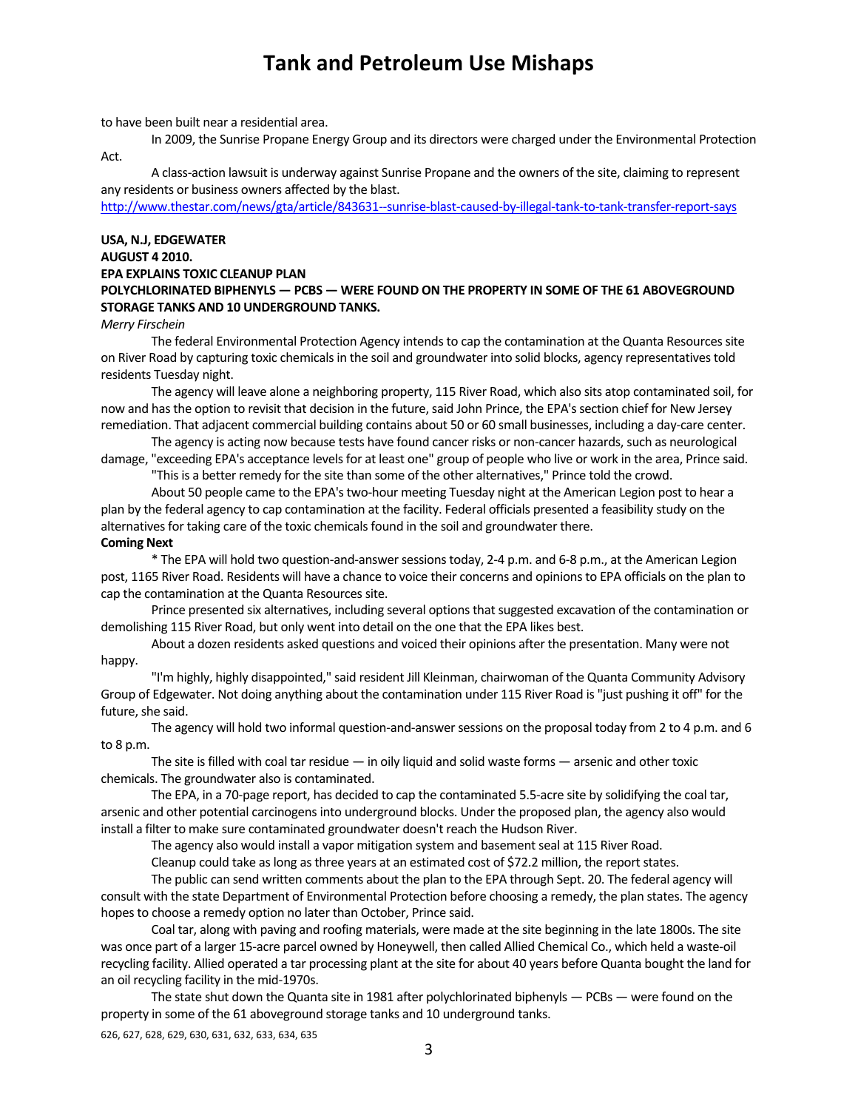to have been built near a residential area.

In 2009, the Sunrise Propane Energy Group and its directors were charged under the Environmental Protection Act.

A class‐action lawsuit is underway against Sunrise Propane and the owners of the site, claiming to represent any residents or business owners affected by the blast.

http://www.thestar.com/news/gta/article/843631‐‐sunrise‐blast‐caused‐by‐illegal‐tank‐to‐tank‐transfer‐report‐says

### **USA, N.J, EDGEWATER AUGUST 4 2010. EPA EXPLAINS TOXIC CLEANUP PLAN POLYCHLORINATED BIPHENYLS — PCBS — WERE FOUND ON THE PROPERTY IN SOME OF THE 61 ABOVEGROUND STORAGE TANKS AND 10 UNDERGROUND TANKS.**

#### *Merry Firschein*

The federal Environmental Protection Agency intends to cap the contamination at the Quanta Resources site on River Road by capturing toxic chemicals in the soil and groundwater into solid blocks, agency representatives told residents Tuesday night.

The agency will leave alone a neighboring property, 115 River Road, which also sits atop contaminated soil, for now and has the option to revisit that decision in the future, said John Prince, the EPA's section chief for New Jersey remediation. That adjacent commercial building contains about 50 or 60 small businesses, including a day‐care center.

The agency is acting now because tests have found cancer risks or non‐cancer hazards, such as neurological damage, "exceeding EPA's acceptance levels for at least one" group of people who live or work in the area, Prince said.

"Thisis a better remedy for the site than some of the other alternatives," Prince told the crowd.

About 50 people came to the EPA's two-hour meeting Tuesday night at the American Legion post to hear a plan by the federal agency to cap contamination at the facility. Federal officials presented a feasibility study on the alternatives for taking care of the toxic chemicals found in the soil and groundwater there.

#### **Coming Next**

\* The EPA will hold two question‐and‐answersessionstoday, 2‐4 p.m. and 6‐8 p.m., at the American Legion post, 1165 River Road. Residents will have a chance to voice their concerns and opinionsto EPA officials on the plan to cap the contamination at the Quanta Resources site.

Prince presented six alternatives, including several options that suggested excavation of the contamination or demolishing 115 River Road, but only went into detail on the one that the EPA likes best.

About a dozen residents asked questions and voiced their opinions after the presentation. Many were not happy.

"I'm highly, highly disappointed," said resident Jill Kleinman, chairwoman of the Quanta Community Advisory Group of Edgewater. Not doing anything about the contamination under 115 River Road is "just pushing it off" for the future, she said.

The agency will hold two informal question-and-answer sessions on the proposal today from 2 to 4 p.m. and 6 to 8 p.m.

The site isfilled with coal tar residue — in oily liquid and solid waste forms — arsenic and other toxic chemicals. The groundwater also is contaminated.

The EPA, in a 70‐page report, has decided to cap the contaminated 5.5‐acre site by solidifying the coal tar, arsenic and other potential carcinogensinto underground blocks. Under the proposed plan, the agency also would install a filter to make sure contaminated groundwater doesn't reach the Hudson River.

The agency also would install a vapor mitigation system and basement seal at 115 River Road.

Cleanup could take as long as three years at an estimated cost of \$72.2 million, the report states.

The public can send written comments about the plan to the EPA through Sept. 20. The federal agency will consult with the state Department of Environmental Protection before choosing a remedy, the plan states. The agency hopes to choose a remedy option no later than October, Prince said.

Coal tar, along with paving and roofing materials, were made at the site beginning in the late 1800s. The site was once part of a larger 15‐acre parcel owned by Honeywell, then called Allied Chemical Co., which held a waste‐oil recycling facility. Allied operated a tar processing plant at the site for about 40 years before Quanta bought the land for an oil recycling facility in the mid‐1970s.

The state shut down the Quanta site in 1981 after polychlorinated biphenyls — PCBs — were found on the property in some of the 61 aboveground storage tanks and 10 underground tanks.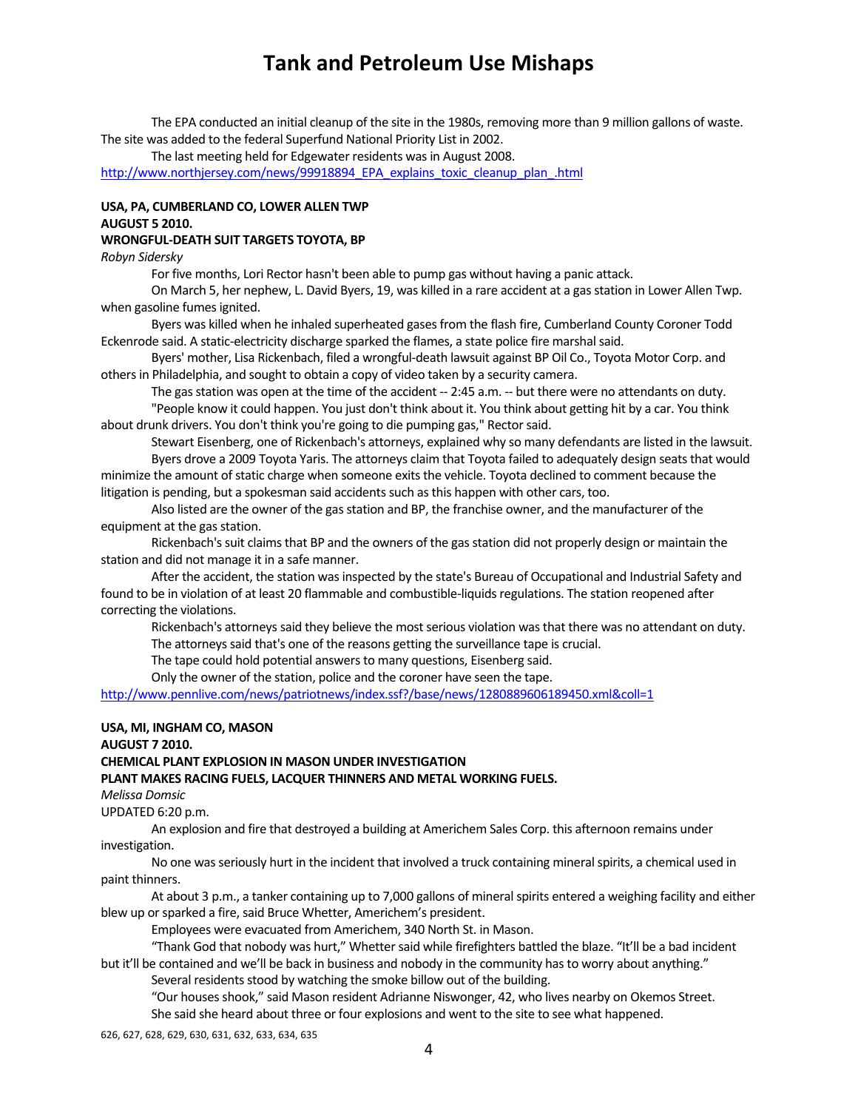The EPA conducted an initial cleanup of the site in the 1980s, removing more than 9 million gallons of waste. The site was added to the federal Superfund National Priority List in 2002.

The last meeting held for Edgewater residents was in August 2008.

http://www.northjersey.com/news/99918894\_EPA\_explains\_toxic\_cleanup\_plan\_.html

#### **USA, PA, CUMBERLAND CO, LOWER ALLEN TWP AUGUST 5 2010.**

#### **WRONGFUL‐DEATH SUIT TARGETS TOYOTA, BP**

*Robyn Sidersky*

For five months, Lori Rector hasn't been able to pump gas without having a panic attack.

On March 5, her nephew, L. David Byers, 19, was killed in a rare accident at a gasstation in Lower Allen Twp. when gasoline fumes ignited.

Byers was killed when he inhaled superheated gases from the flash fire, Cumberland County Coroner Todd Eckenrode said. A static-electricity discharge sparked the flames, a state police fire marshal said.

Byers' mother, Lisa Rickenbach, filed a wrongful‐death lawsuit against BP Oil Co., Toyota Motor Corp. and others in Philadelphia, and sought to obtain a copy of video taken by a security camera.

The gas station was open at the time of the accident -- 2:45 a.m. -- but there were no attendants on duty. "People know it could happen. You just don't think about it. You think about getting hit by a car. You think about drunk drivers. You don't think you're going to die pumping gas," Rectorsaid.

Stewart Eisenberg, one of Rickenbach's attorneys, explained why so many defendants are listed in the lawsuit. Byers drove a 2009 Toyota Yaris. The attorneys claim that Toyota failed to adequately design seats that would minimize the amount of static charge when someone exits the vehicle. Toyota declined to comment because the litigation is pending, but a spokesman said accidents such as this happen with other cars, too.

Also listed are the owner of the gas station and BP, the franchise owner, and the manufacturer of the equipment at the gas station.

Rickenbach's suit claims that BP and the owners of the gas station did not properly design or maintain the station and did not manage it in a safe manner.

After the accident, the station was inspected by the state's Bureau of Occupational and Industrial Safety and found to be in violation of at least 20 flammable and combustible‐liquidsregulations. The station reopened after correcting the violations.

Rickenbach's attorneys said they believe the most serious violation was that there was no attendant on duty. The attorneys said that's one of the reasons getting the surveillance tape is crucial.

The tape could hold potential answers to many questions, Eisenberg said.

Only the owner of the station, police and the coroner have seen the tape.

http://www.pennlive.com/news/patriotnews/index.ssf?/base/news/1280889606189450.xml&coll=1

#### **USA, MI, INGHAM CO, MASON**

**AUGUST 7 2010.** 

**CHEMICAL PLANT EXPLOSION IN MASON UNDER INVESTIGATION**

**PLANT MAKES RACING FUELS, LACQUER THINNERS AND METAL WORKING FUELS.**

*Melissa Domsic*

UPDATED 6:20 p.m.

An explosion and fire that destroyed a building at Americhem Sales Corp. this afternoon remains under investigation.

No one was seriously hurt in the incident that involved a truck containing mineral spirits, a chemical used in paint thinners.

At about 3 p.m., a tanker containing up to 7,000 gallons of mineral spirits entered a weighing facility and either blew up or sparked a fire, said Bruce Whetter, Americhem's president.

Employees were evacuated from Americhem, 340 North St. in Mason.

"Thank God that nobody was hurt," Whetter said while firefighters battled the blaze. "It'll be a bad incident but it'll be contained and we'll be back in business and nobody in the community has to worry about anything."

Several residents stood by watching the smoke billow out of the building.

"Our houses shook," said Mason resident Adrianne Niswonger, 42, who lives nearby on Okemos Street. She said she heard about three or four explosions and went to the site to see what happened.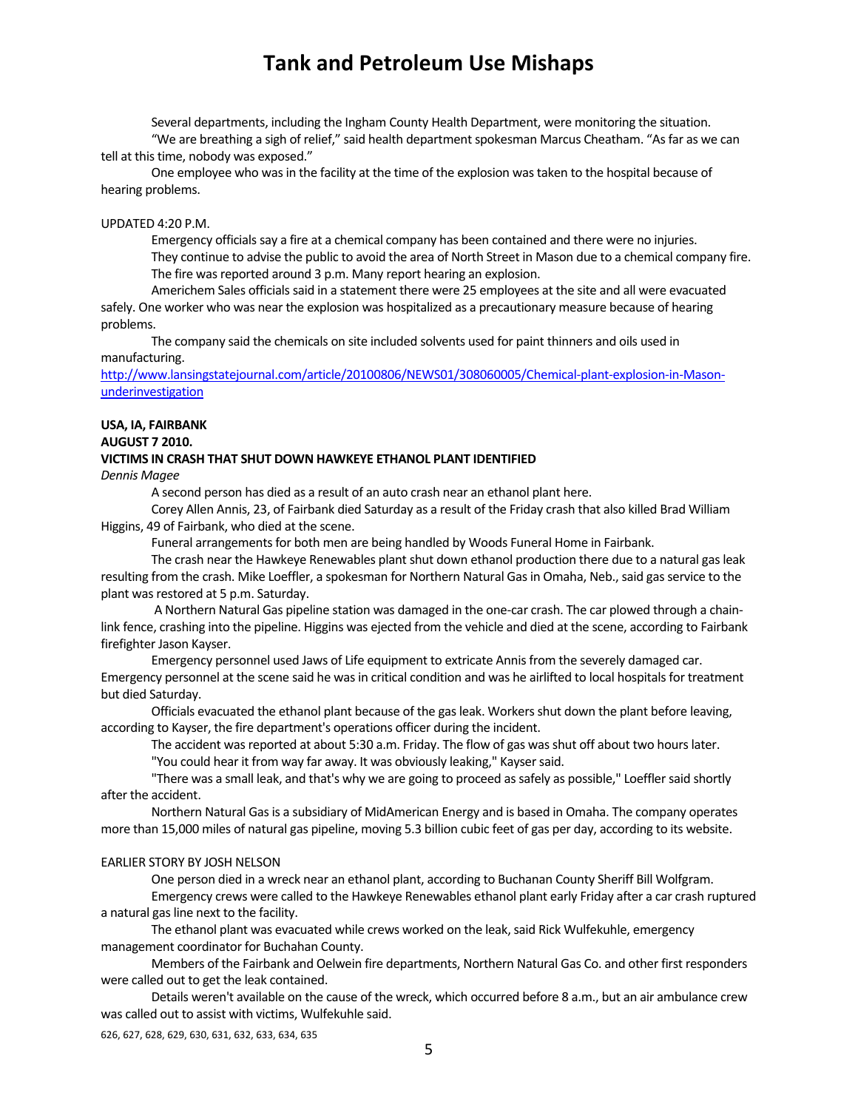Several departments, including the Ingham County Health Department, were monitoring the situation. "We are breathing a sigh of relief," said health department spokesman Marcus Cheatham. "As far as we can

tell at this time, nobody was exposed."

One employee who was in the facility at the time of the explosion was taken to the hospital because of hearing problems.

#### UPDATED 4:20 P.M.

Emergency officials say a fire at a chemical company has been contained and there were no injuries. They continue to advise the public to avoid the area of North Street in Mason due to a chemical company fire. The fire was reported around 3 p.m. Many report hearing an explosion.

Americhem Sales officialssaid in a statement there were 25 employees at the site and all were evacuated safely. One worker who was near the explosion was hospitalized as a precautionary measure because of hearing problems.

The company said the chemicals on site included solvents used for paint thinners and oils used in manufacturing.

http://www.lansingstatejournal.com/article/20100806/NEWS01/308060005/Chemical-plant-explosion-in-Masonunderinvestigation

## **USA, IA, FAIRBANK**

**AUGUST 7 2010.**

## **VICTIMS IN CRASH THAT SHUT DOWN HAWKEYE ETHANOL PLANT IDENTIFIED**

*Dennis Magee*

A second person has died as a result of an auto crash near an ethanol plant here.

Corey Allen Annis, 23, of Fairbank died Saturday as a result of the Friday crash that also killed Brad William Higgins, 49 of Fairbank, who died at the scene.

Funeral arrangements for both men are being handled by Woods Funeral Home in Fairbank.

The crash near the Hawkeye Renewables plant shut down ethanol production there due to a natural gas leak resulting from the crash. Mike Loeffler, a spokesman for Northern Natural Gas in Omaha, Neb., said gas service to the plant was restored at 5 p.m. Saturday.

A Northern Natural Gas pipeline station was damaged in the one‐car crash. The car plowed through a chain‐ link fence, crashing into the pipeline. Higgins was ejected from the vehicle and died at the scene, according to Fairbank firefighter Jason Kayser.

Emergency personnel used Jaws of Life equipment to extricate Annisfrom the severely damaged car. Emergency personnel at the scene said he was in critical condition and was he airlifted to local hospitals for treatment but died Saturday.

Officials evacuated the ethanol plant because of the gasleak. Workersshut down the plant before leaving, according to Kayser, the fire department's operations officer during the incident.

The accident was reported at about 5:30 a.m. Friday. The flow of gas was shut off about two hours later.

"You could hear it from way far away. It was obviously leaking," Kaysersaid.

"There was a small leak, and that's why we are going to proceed as safely as possible," Loeffler said shortly after the accident.

Northern Natural Gasis a subsidiary of MidAmerican Energy and is based in Omaha. The company operates more than 15,000 miles of natural gas pipeline, moving 5.3 billion cubic feet of gas per day, according to its website.

#### EARLIER STORY BY JOSH NELSON

One person died in a wreck near an ethanol plant, according to Buchanan County Sheriff Bill Wolfgram.

Emergency crews were called to the Hawkeye Renewables ethanol plant early Friday after a car crash ruptured a natural gas line next to the facility.

The ethanol plant was evacuated while crews worked on the leak, said Rick Wulfekuhle, emergency management coordinator for Buchahan County.

Members of the Fairbank and Oelwein fire departments, Northern Natural Gas Co. and other first responders were called out to get the leak contained.

Details weren't available on the cause of the wreck, which occurred before 8 a.m., but an air ambulance crew was called out to assist with victims, Wulfekuhle said.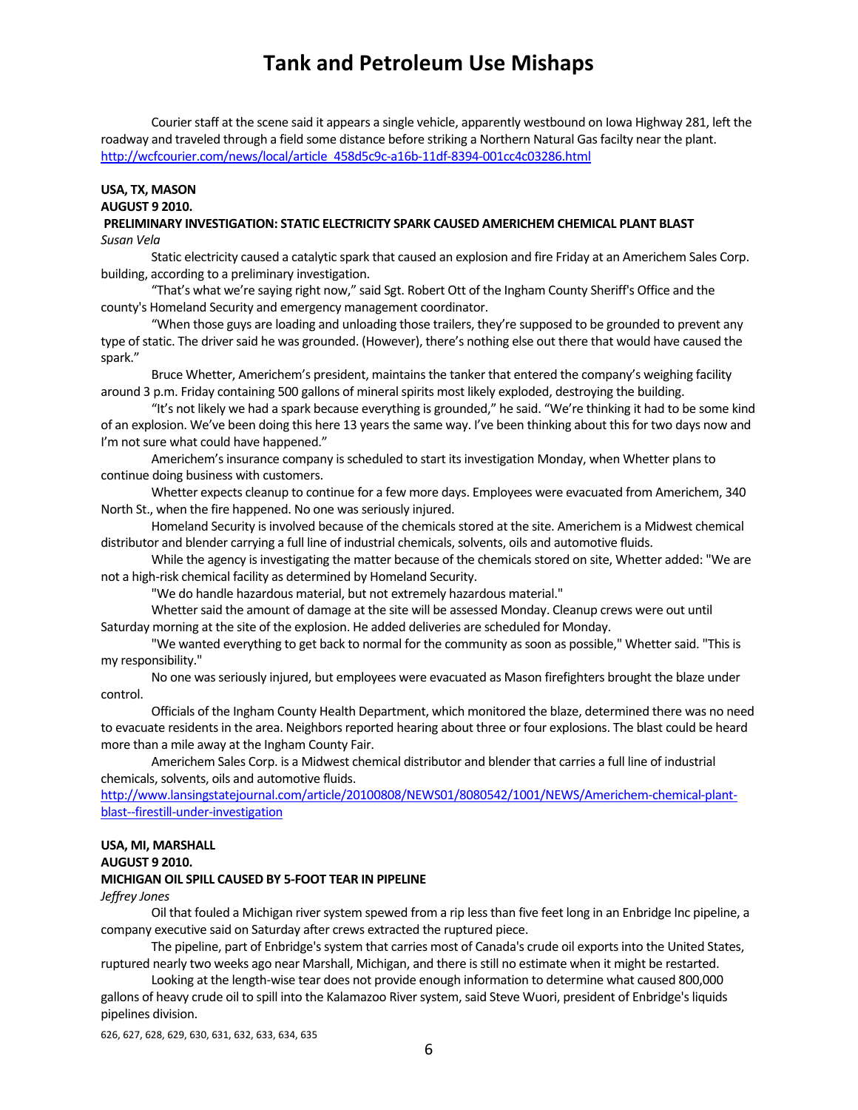Courier staff at the scene said it appears a single vehicle, apparently westbound on Iowa Highway 281, left the roadway and traveled through a field some distance before striking a Northern Natural Gasfacilty near the plant. http://wcfcourier.com/news/local/article\_458d5c9c-a16b-11df-8394-001cc4c03286.html

### **USA, TX, MASON AUGUST 9 2010.**

#### **PRELIMINARY INVESTIGATION: STATIC ELECTRICITY SPARK CAUSED AMERICHEM CHEMICAL PLANT BLAST** *Susan Vela*

Static electricity caused a catalytic spark that caused an explosion and fire Friday at an Americhem Sales Corp. building, according to a preliminary investigation.

"That's what we're saying right now," said Sgt. Robert Ott of the Ingham County Sheriff's Office and the county's Homeland Security and emergency management coordinator.

"When those guys are loading and unloading those trailers, they're supposed to be grounded to prevent any type of static. The driver said he was grounded. (However), there's nothing else out there that would have caused the spark."

Bruce Whetter, Americhem's president, maintains the tanker that entered the company's weighing facility around 3 p.m. Friday containing 500 gallons of mineral spirits most likely exploded, destroying the building.

"It's not likely we had a spark because everything is grounded," he said. "We're thinking it had to be some kind of an explosion. We've been doing this here 13 years the same way. I've been thinking about this for two days now and I'm not sure what could have happened."

Americhem's insurance company is scheduled to start its investigation Monday, when Whetter plans to continue doing business with customers.

Whetter expects cleanup to continue for a few more days. Employees were evacuated from Americhem, 340 North St., when the fire happened. No one was seriously injured.

Homeland Security is involved because of the chemicals stored at the site. Americhem is a Midwest chemical distributor and blender carrying a full line of industrial chemicals, solvents, oils and automotive fluids.

While the agency is investigating the matter because of the chemicals stored on site, Whetter added: "We are not a high‐risk chemical facility as determined by Homeland Security.

"We do handle hazardous material, but not extremely hazardous material."

Whetter said the amount of damage at the site will be assessed Monday. Cleanup crews were out until Saturday morning at the site of the explosion. He added deliveries are scheduled for Monday.

"We wanted everything to get back to normal for the community as soon as possible," Whetter said. "This is my responsibility."

No one wasseriously injured, but employees were evacuated as Mason firefighters brought the blaze under control.

Officials of the Ingham County Health Department, which monitored the blaze, determined there was no need to evacuate residents in the area. Neighbors reported hearing about three or four explosions. The blast could be heard more than a mile away at the Ingham County Fair.

Americhem Sales Corp. is a Midwest chemical distributor and blender that carries a full line of industrial chemicals, solvents, oils and automotive fluids.

http://www.lansingstatejournal.com/article/20100808/NEWS01/8080542/1001/NEWS/Americhem-chemical-plantblast‐‐firestill‐under‐investigation

#### **USA, MI, MARSHALL AUGUST 9 2010.**

#### **MICHIGAN OIL SPILL CAUSED BY 5‐FOOT TEAR IN PIPELINE**

#### *Jeffrey Jones*

Oil that fouled a Michigan river system spewed from a rip less than five feet long in an Enbridge Inc pipeline, a company executive said on Saturday after crews extracted the ruptured piece.

The pipeline, part of Enbridge's system that carries most of Canada's crude oil exports into the United States, ruptured nearly two weeks ago near Marshall, Michigan, and there isstill no estimate when it might be restarted.

Looking at the length‐wise tear does not provide enough information to determine what caused 800,000 gallons of heavy crude oil to spill into the Kalamazoo River system, said Steve Wuori, president of Enbridge's liquids pipelines division.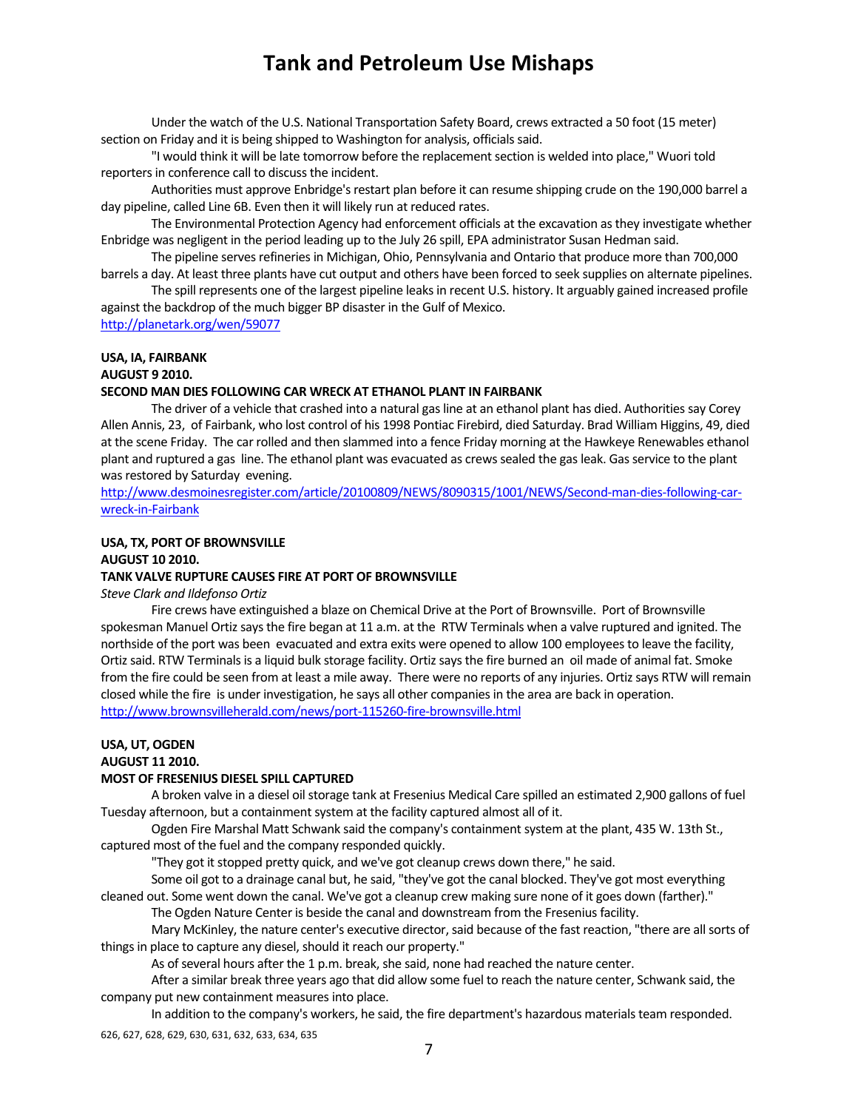Under the watch of the U.S. National Transportation Safety Board, crews extracted a 50 foot (15 meter) section on Friday and it is being shipped to Washington for analysis, officials said.

"I would think it will be late tomorrow before the replacementsection is welded into place," Wuori told reporters in conference call to discuss the incident.

Authorities must approve Enbridge's restart plan before it can resume shipping crude on the 190,000 barrel a day pipeline, called Line 6B. Even then it will likely run at reduced rates.

The Environmental Protection Agency had enforcement officials at the excavation as they investigate whether Enbridge was negligent in the period leading up to the July 26 spill, EPA administrator Susan Hedman said.

The pipeline serves refineries in Michigan, Ohio, Pennsylvania and Ontario that produce more than 700,000 barrels a day. At least three plants have cut output and others have been forced to seek supplies on alternate pipelines.

The spill represents one of the largest pipeline leaks in recent U.S. history. It arguably gained increased profile against the backdrop of the much bigger BP disaster in the Gulf of Mexico.

http://planetark.org/wen/59077

### **USA, IA, FAIRBANK**

**AUGUST 9 2010.** 

#### **SECOND MAN DIES FOLLOWING CAR WRECK AT ETHANOL PLANT IN FAIRBANK**

The driver of a vehicle that crashed into a natural gas line at an ethanol plant has died. Authorities say Corey Allen Annis, 23, of Fairbank, who lost control of his 1998 Pontiac Firebird, died Saturday. Brad William Higgins, 49, died at the scene Friday. The car rolled and then slammed into a fence Friday morning at the Hawkeye Renewables ethanol plant and ruptured a gas line. The ethanol plant was evacuated as crews sealed the gas leak. Gas service to the plant was restored by Saturday evening.

http://www.desmoinesregister.com/article/20100809/NEWS/8090315/1001/NEWS/Second-man-dies-following-carwreck‐in‐Fairbank

#### **USA, TX, PORT OF BROWNSVILLE AUGUST 10 2010.**

#### **TANK VALVE RUPTURE CAUSES FIRE AT PORT OF BROWNSVILLE**

*Steve Clark and Ildefonso Ortiz*

Fire crews have extinguished a blaze on Chemical Drive at the Port of Brownsville. Port of Brownsville spokesman Manuel Ortiz says the fire began at 11 a.m. at the RTW Terminals when a valve ruptured and ignited. The northside of the port was been evacuated and extra exits were opened to allow 100 employees to leave the facility, Ortiz said. RTW Terminals is a liquid bulk storage facility. Ortiz says the fire burned an oil made of animal fat. Smoke from the fire could be seen from at least a mile away. There were no reports of any injuries. Ortizsays RTW will remain closed while the fire is under investigation, he says all other companiesin the area are back in operation. http://www.brownsvilleherald.com/news/port‐115260‐fire‐brownsville.html

#### **USA, UT, OGDEN AUGUST 11 2010.**

#### **MOST OF FRESENIUS DIESEL SPILL CAPTURED**

A broken valve in a diesel oil storage tank at Fresenius Medical Care spilled an estimated 2,900 gallons of fuel Tuesday afternoon, but a containment system at the facility captured almost all of it.

Ogden Fire Marshal Matt Schwank said the company's containment system at the plant, 435 W. 13th St., captured most of the fuel and the company responded quickly.

"They got it stopped pretty quick, and we've got cleanup crews down there," he said.

Some oil got to a drainage canal but, he said, "they've got the canal blocked. They've got most everything cleaned out. Some went down the canal. We've got a cleanup crew making sure none of it goes down (farther)."

The Ogden Nature Center is beside the canal and downstream from the Freseniusfacility.

Mary McKinley, the nature center's executive director, said because of the fast reaction, "there are all sorts of things in place to capture any diesel, should it reach our property."

As of several hours after the 1 p.m. break, she said, none had reached the nature center.

After a similar break three years ago that did allow some fuel to reach the nature center, Schwank said, the company put new containment measures into place.

In addition to the company's workers, he said, the fire department's hazardous materials team responded.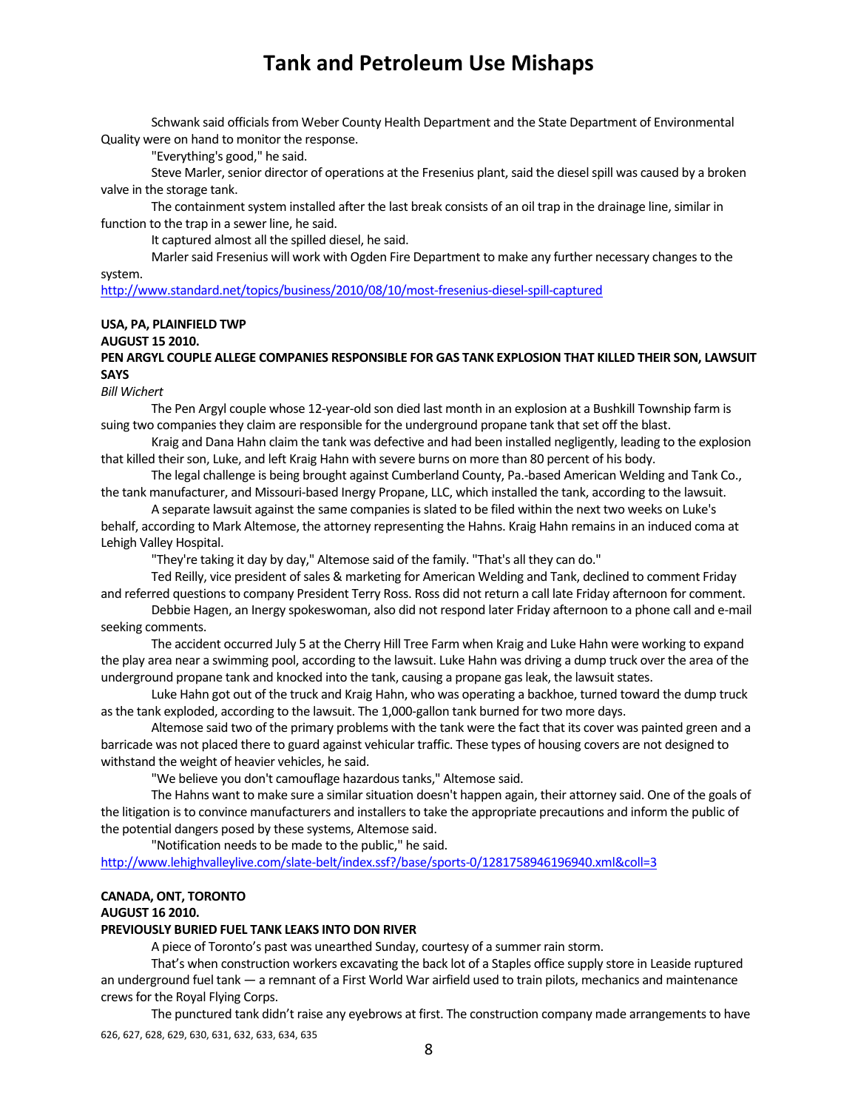Schwank said officials from Weber County Health Department and the State Department of Environmental Quality were on hand to monitor the response.

"Everything's good," he said.

Steve Marler, senior director of operations at the Fresenius plant, said the diesel spill was caused by a broken valve in the storage tank.

The containment system installed after the last break consists of an oil trap in the drainage line, similar in function to the trap in a sewer line, he said.

It captured almost all the spilled diesel, he said.

Marler said Fresenius will work with Ogden Fire Department to make any further necessary changes to the system.

http://www.standard.net/topics/business/2010/08/10/most‐fresenius‐diesel‐spill‐captured

## **USA, PA, PLAINFIELD TWP**

#### **AUGUST 15 2010.**

**PEN ARGYL COUPLE ALLEGE COMPANIES RESPONSIBLE FOR GAS TANK EXPLOSION THAT KILLED THEIR SON, LAWSUIT SAYS**

*Bill Wichert*

The Pen Argyl couple whose 12‐year‐old son died last month in an explosion at a Bushkill Township farm is suing two companies they claim are responsible for the underground propane tank that set off the blast.

Kraig and Dana Hahn claim the tank was defective and had been installed negligently, leading to the explosion that killed their son, Luke, and left Kraig Hahn with severe burns on more than 80 percent of his body.

The legal challenge is being brought against Cumberland County, Pa.‐based American Welding and Tank Co., the tank manufacturer, and Missouri‐based Inergy Propane, LLC, which installed the tank, according to the lawsuit.

A separate lawsuit against the same companies is slated to be filed within the next two weeks on Luke's behalf, according to Mark Altemose, the attorney representing the Hahns. Kraig Hahn remains in an induced coma at Lehigh Valley Hospital.

"They're taking it day by day," Altemose said of the family. "That's all they can do."

Ted Reilly, vice president of sales & marketing for American Welding and Tank, declined to comment Friday and referred questions to company President Terry Ross. Ross did not return a call late Friday afternoon for comment.

Debbie Hagen, an Inergy spokeswoman, also did not respond later Friday afternoon to a phone call and e‐mail seeking comments.

The accident occurred July 5 at the Cherry Hill Tree Farm when Kraig and Luke Hahn were working to expand the play area near a swimming pool, according to the lawsuit. Luke Hahn was driving a dump truck over the area of the underground propane tank and knocked into the tank, causing a propane gas leak, the lawsuit states.

Luke Hahn got out of the truck and Kraig Hahn, who was operating a backhoe, turned toward the dump truck asthe tank exploded, according to the lawsuit. The 1,000‐gallon tank burned for two more days.

Altemose said two of the primary problems with the tank were the fact that its cover was painted green and a barricade was not placed there to guard against vehicular traffic. These types of housing covers are not designed to withstand the weight of heavier vehicles, he said.

"We believe you don't camouflage hazardous tanks," Altemose said.

The Hahns want to make sure a similar situation doesn't happen again, their attorney said. One of the goals of the litigation is to convince manufacturers and installers to take the appropriate precautions and inform the public of the potential dangers posed by these systems, Altemose said.

"Notification needs to be made to the public," he said.

http://www.lehighvalleylive.com/slate‐belt/index.ssf?/base/sports‐0/1281758946196940.xml&coll=3

### **CANADA, ONT, TORONTO**

#### **AUGUST 16 2010.**

#### **PREVIOUSLY BURIED FUEL TANK LEAKS INTO DON RIVER**

A piece of Toronto's past was unearthed Sunday, courtesy of a summer rain storm.

That's when construction workers excavating the back lot of a Staples office supply store in Leaside ruptured an underground fuel tank — a remnant of a First World War airfield used to train pilots, mechanics and maintenance crewsfor the Royal Flying Corps.

626, 627, 628, 629, 630, 631, 632, 633, 634, 635 The punctured tank didn't raise any eyebrows at first. The construction company made arrangements to have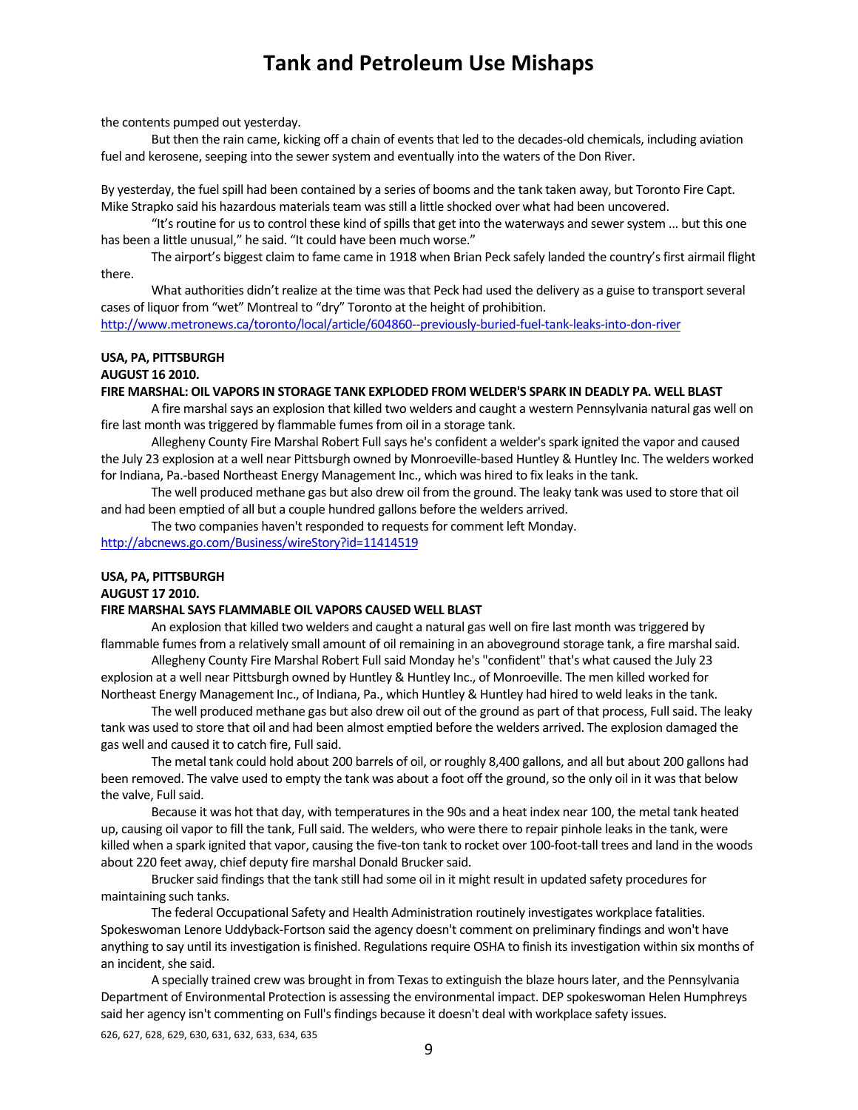the contents pumped out yesterday.

But then the rain came, kicking off a chain of events that led to the decades-old chemicals, including aviation fuel and kerosene, seeping into the sewer system and eventually into the waters of the Don River.

By yesterday, the fuel spill had been contained by a series of booms and the tank taken away, but Toronto Fire Capt. Mike Strapko said his hazardous materials team was still a little shocked over what had been uncovered.

"It's routine for us to control these kind of spills that get into the waterways and sewer system ... but this one has been a little unusual," he said. "It could have been much worse."

The airport's biggest claim to fame came in 1918 when Brian Peck safely landed the country's first airmail flight there.

What authorities didn't realize at the time was that Peck had used the delivery as a guise to transport several cases of liquor from "wet" Montreal to "dry" Toronto at the height of prohibition.

http://www.metronews.ca/toronto/local/article/604860--previously-buried-fuel-tank-leaks-into-don-river

### **USA, PA, PITTSBURGH**

### **AUGUST 16 2010.**

**FIRE MARSHAL: OIL VAPORS IN STORAGE TANK EXPLODED FROM WELDER'S SPARK IN DEADLY PA. WELL BLAST**

A fire marshal says an explosion that killed two welders and caught a western Pennsylvania natural gas well on fire last month was triggered by flammable fumes from oil in a storage tank.

Allegheny County Fire Marshal Robert Full says he's confident a welder's spark ignited the vapor and caused the July 23 explosion at a well near Pittsburgh owned by Monroeville‐based Huntley & Huntley Inc. The welders worked for Indiana, Pa.-based Northeast Energy Management Inc., which was hired to fix leaks in the tank.

The well produced methane gas but also drew oil from the ground. The leaky tank was used to store that oil and had been emptied of all but a couple hundred gallons before the welders arrived.

The two companies haven't responded to requests for comment left Monday.

http://abcnews.go.com/Business/wireStory?id=11414519

## **USA, PA, PITTSBURGH**

## **AUGUST 17 2010.**

### **FIRE MARSHAL SAYS FLAMMABLE OIL VAPORS CAUSED WELL BLAST**

An explosion that killed two welders and caught a natural gas well on fire last month wastriggered by flammable fumes from a relatively small amount of oil remaining in an aboveground storage tank, a fire marshal said.

Allegheny County Fire Marshal Robert Full said Monday he's "confident" that's what caused the July 23 explosion at a well near Pittsburgh owned by Huntley & Huntley Inc., of Monroeville. The men killed worked for Northeast Energy Management Inc., of Indiana, Pa., which Huntley & Huntley had hired to weld leaks in the tank.

The well produced methane gas but also drew oil out of the ground as part of that process, Full said. The leaky tank was used to store that oil and had been almost emptied before the welders arrived. The explosion damaged the gas well and caused it to catch fire, Full said.

The metal tank could hold about 200 barrels of oil, or roughly 8,400 gallons, and all but about 200 gallons had been removed. The valve used to empty the tank was about a foot off the ground, so the only oil in it was that below the valve, Full said.

Because it was hot that day, with temperatures in the 90s and a heat index near 100, the metal tank heated up, causing oil vapor to fill the tank, Full said. The welders, who were there to repair pinhole leaks in the tank, were killed when a spark ignited that vapor, causing the five-ton tank to rocket over 100-foot-tall trees and land in the woods about 220 feet away, chief deputy fire marshal Donald Brucker said.

Brucker said findings that the tank still had some oil in it might result in updated safety procedures for maintaining such tanks.

The federal Occupational Safety and Health Administration routinely investigates workplace fatalities. Spokeswoman Lenore Uddyback‐Fortson said the agency doesn't comment on preliminary findings and won't have anything to say until its investigation is finished. Regulations require OSHA to finish its investigation within six months of an incident, she said.

A specially trained crew was brought in from Texas to extinguish the blaze hours later, and the Pennsylvania Department of Environmental Protection is assessing the environmental impact. DEP spokeswoman Helen Humphreys said her agency isn't commenting on Full's findings because it doesn't deal with workplace safety issues.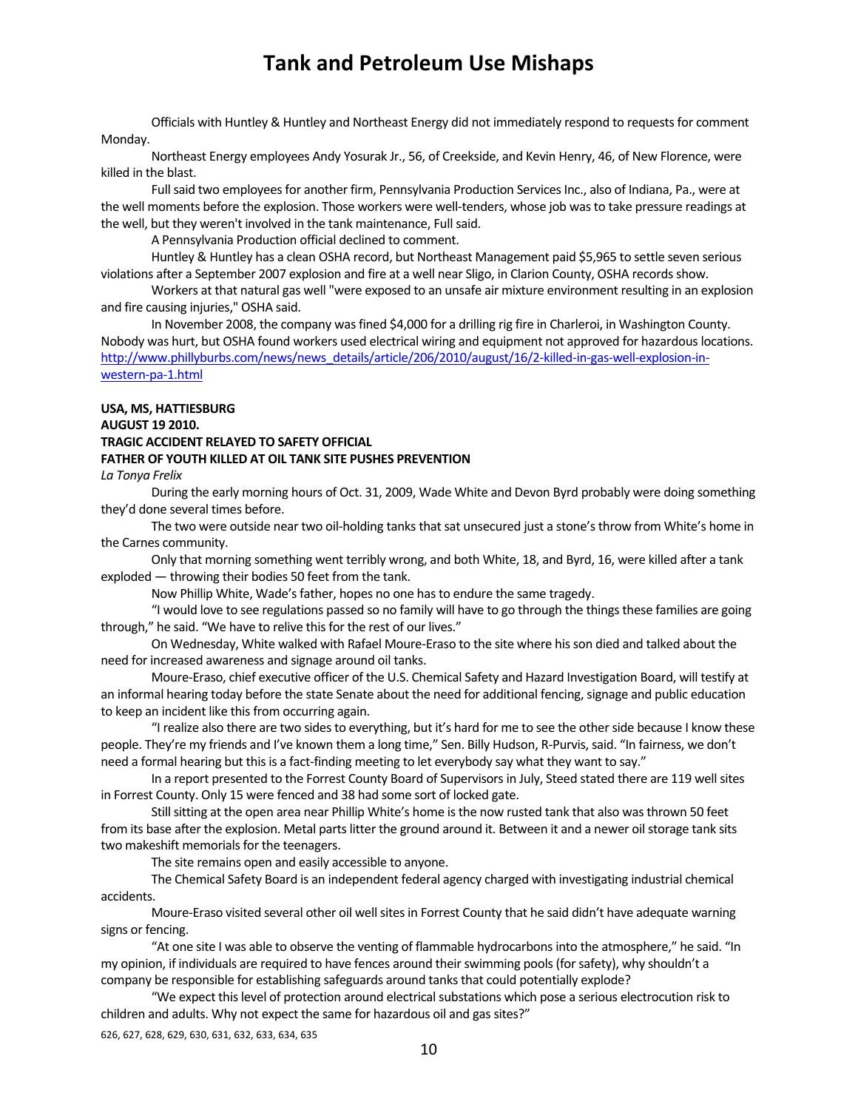Officials with Huntley & Huntley and Northeast Energy did not immediately respond to requestsfor comment Monday.

Northeast Energy employees Andy Yosurak Jr., 56, of Creekside, and Kevin Henry, 46, of New Florence, were killed in the blast.

Full said two employees for another firm, Pennsylvania Production Services Inc., also of Indiana, Pa., were at the well moments before the explosion. Those workers were well-tenders, whose job was to take pressure readings at the well, but they weren't involved in the tank maintenance, Full said.

A Pennsylvania Production official declined to comment.

Huntley & Huntley has a clean OSHA record, but Northeast Management paid \$5,965 to settle seven serious violations after a September 2007 explosion and fire at a well near Sligo, in Clarion County, OSHA recordsshow.

Workers at that natural gas well "were exposed to an unsafe air mixture environment resulting in an explosion and fire causing injuries," OSHA said.

In November 2008, the company was fined \$4,000 for a drilling rig fire in Charleroi, in Washington County. Nobody was hurt, but OSHA found workers used electrical wiring and equipment not approved for hazardouslocations. http://www.phillyburbs.com/news/news\_details/article/206/2010/august/16/2‐killed‐in‐gas‐well‐explosion‐in‐ western-pa-1.html

### **USA, MS, HATTIESBURG AUGUST 19 2010. TRAGIC ACCIDENT RELAYED TO SAFETY OFFICIAL FATHER OF YOUTH KILLED AT OIL TANK SITE PUSHES PREVENTION**

*La Tonya Frelix*

During the early morning hours of Oct. 31, 2009, Wade White and Devon Byrd probably were doing something they'd done several times before.

The two were outside near two oil-holding tanks that sat unsecured just a stone's throw from White's home in the Carnes community.

Only that morning something went terribly wrong, and both White, 18, and Byrd, 16, were killed after a tank exploded — throwing their bodies 50 feet from the tank.

Now Phillip White, Wade's father, hopes no one has to endure the same tragedy.

"I would love to see regulations passed so no family will have to go through the thingsthese families are going through," he said. "We have to relive this for the rest of our lives."

On Wednesday, White walked with Rafael Moure‐Eraso to the site where hisson died and talked about the need for increased awareness and signage around oil tanks.

Moure‐Eraso, chief executive officer of the U.S. Chemical Safety and Hazard Investigation Board, will testify at an informal hearing today before the state Senate about the need for additional fencing, signage and public education to keep an incident like this from occurring again.

"I realize also there are two sides to everything, but it's hard for me to see the other side because I know these people. They're my friends and I've known them a long time," Sen. Billy Hudson, R-Purvis, said. "In fairness, we don't need a formal hearing but this is a fact-finding meeting to let everybody say what they want to say."

In a report presented to the Forrest County Board of Supervisors in July, Steed stated there are 119 well sites in Forrest County. Only 15 were fenced and 38 had some sort of locked gate.

Still sitting at the open area near Phillip White's home is the now rusted tank that also was thrown 50 feet from its base after the explosion. Metal parts litter the ground around it. Between it and a newer oil storage tank sits two makeshift memorials for the teenagers.

The site remains open and easily accessible to anyone.

The Chemical Safety Board is an independent federal agency charged with investigating industrial chemical accidents.

Moure-Eraso visited several other oil well sites in Forrest County that he said didn't have adequate warning signs or fencing.

"At one site I was able to observe the venting of flammable hydrocarbonsinto the atmosphere," he said. "In my opinion, if individuals are required to have fences around their swimming pools (for safety), why shouldn't a company be responsible for establishing safeguards around tanks that could potentially explode?

"We expect this level of protection around electrical substations which pose a serious electrocution risk to children and adults. Why not expect the same for hazardous oil and gas sites?"